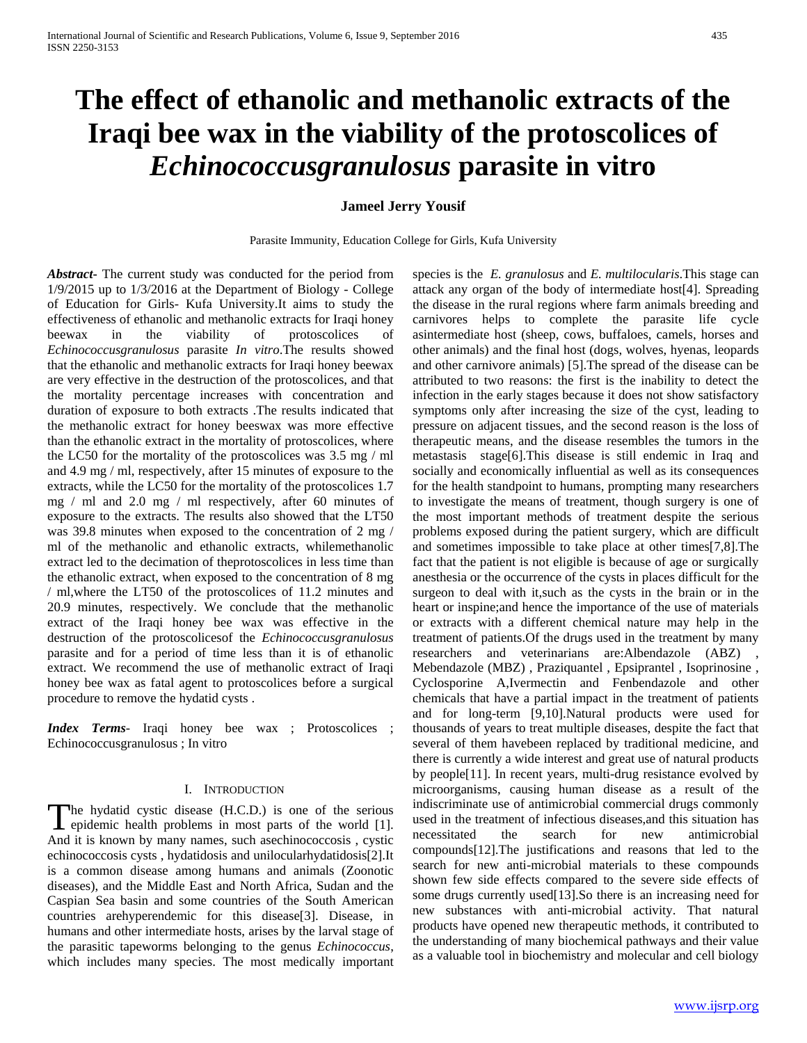# **The effect of ethanolic and methanolic extracts of the Iraqi bee wax in the viability of the protoscolices of**  *Echinococcusgranulosus* **parasite in vitro**

# **Jameel Jerry Yousif**

Parasite Immunity, Education College for Girls, Kufa University

*Abstract***-** The current study was conducted for the period from 1/9/2015 up to 1/3/2016 at the Department of Biology - College of Education for Girls- Kufa University.It aims to study the effectiveness of ethanolic and methanolic extracts for Iraqi honey beewax in the viability of protoscolices of *Echinococcusgranulosus* parasite *In vitro*.The results showed that the ethanolic and methanolic extracts for Iraqi honey beewax are very effective in the destruction of the protoscolices, and that the mortality percentage increases with concentration and duration of exposure to both extracts .The results indicated that the methanolic extract for honey beeswax was more effective than the ethanolic extract in the mortality of protoscolices, where the LC50 for the mortality of the protoscolices was 3.5 mg / ml and 4.9 mg / ml, respectively, after 15 minutes of exposure to the extracts, while the LC50 for the mortality of the protoscolices 1.7 mg / ml and 2.0 mg / ml respectively, after 60 minutes of exposure to the extracts. The results also showed that the LT50 was 39.8 minutes when exposed to the concentration of 2 mg / ml of the methanolic and ethanolic extracts, whilemethanolic extract led to the decimation of theprotoscolices in less time than the ethanolic extract, when exposed to the concentration of 8 mg / ml,where the LT50 of the protoscolices of 11.2 minutes and 20.9 minutes, respectively. We conclude that the methanolic extract of the Iraqi honey bee wax was effective in the destruction of the protoscolicesof the *Echinococcusgranulosus* parasite and for a period of time less than it is of ethanolic extract. We recommend the use of methanolic extract of Iraqi honey bee wax as fatal agent to protoscolices before a surgical procedure to remove the hydatid cysts .

*Index Terms*- Iraqi honey bee wax ; Protoscolices ; Echinococcusgranulosus ; In vitro

## I. INTRODUCTION

he hydatid cystic disease (H.C.D.) is one of the serious The hydatid cystic disease (H.C.D.) is one of the serious epidemic health problems in most parts of the world [1]. And it is known by many names, such asechinococcosis , cystic echinococcosis cysts , hydatidosis and unilocularhydatidosis[2].It is a common disease among humans and animals (Zoonotic diseases), and the Middle East and North Africa, Sudan and the Caspian Sea basin and some countries of the South American countries arehyperendemic for this disease[3]. Disease, in humans and other intermediate hosts, arises by the larval stage of the parasitic tapeworms belonging to the genus *Echinococcus*, which includes many species. The most medically important

species is the *E. granulosus* and *E. multilocularis*.This stage can attack any organ of the body of intermediate host[4]. Spreading the disease in the rural regions where farm animals breeding and carnivores helps to complete the parasite life cycle asintermediate host (sheep, cows, buffaloes, camels, horses and other animals) and the final host (dogs, wolves, hyenas, leopards and other carnivore animals) [5].The spread of the disease can be attributed to two reasons: the first is the inability to detect the infection in the early stages because it does not show satisfactory symptoms only after increasing the size of the cyst, leading to pressure on adjacent tissues, and the second reason is the loss of therapeutic means, and the disease resembles the tumors in the metastasis stage[6].This disease is still endemic in Iraq and socially and economically influential as well as its consequences for the health standpoint to humans, prompting many researchers to investigate the means of treatment, though surgery is one of the most important methods of treatment despite the serious problems exposed during the patient surgery, which are difficult and sometimes impossible to take place at other times[7,8].The fact that the patient is not eligible is because of age or surgically anesthesia or the occurrence of the cysts in places difficult for the surgeon to deal with it,such as the cysts in the brain or in the heart or inspine;and hence the importance of the use of materials or extracts with a different chemical nature may help in the treatment of patients.Of the drugs used in the treatment by many researchers and veterinarians are:Albendazole (ABZ) Mebendazole (MBZ) , Praziquantel , Epsiprantel , Isoprinosine , Cyclosporine A,Ivermectin and Fenbendazole and other chemicals that have a partial impact in the treatment of patients and for long-term [9,10].Natural products were used for thousands of years to treat multiple diseases, despite the fact that several of them havebeen replaced by traditional medicine, and there is currently a wide interest and great use of natural products by people[11]. In recent years, multi-drug resistance evolved by microorganisms, causing human disease as a result of the indiscriminate use of antimicrobial commercial drugs commonly used in the treatment of infectious diseases,and this situation has necessitated the search for new antimicrobial compounds[12].The justifications and reasons that led to the search for new anti-microbial materials to these compounds shown few side effects compared to the severe side effects of some drugs currently used[13].So there is an increasing need for new substances with anti-microbial activity. That natural products have opened new therapeutic methods, it contributed to the understanding of many biochemical pathways and their value as a valuable tool in biochemistry and molecular and cell biology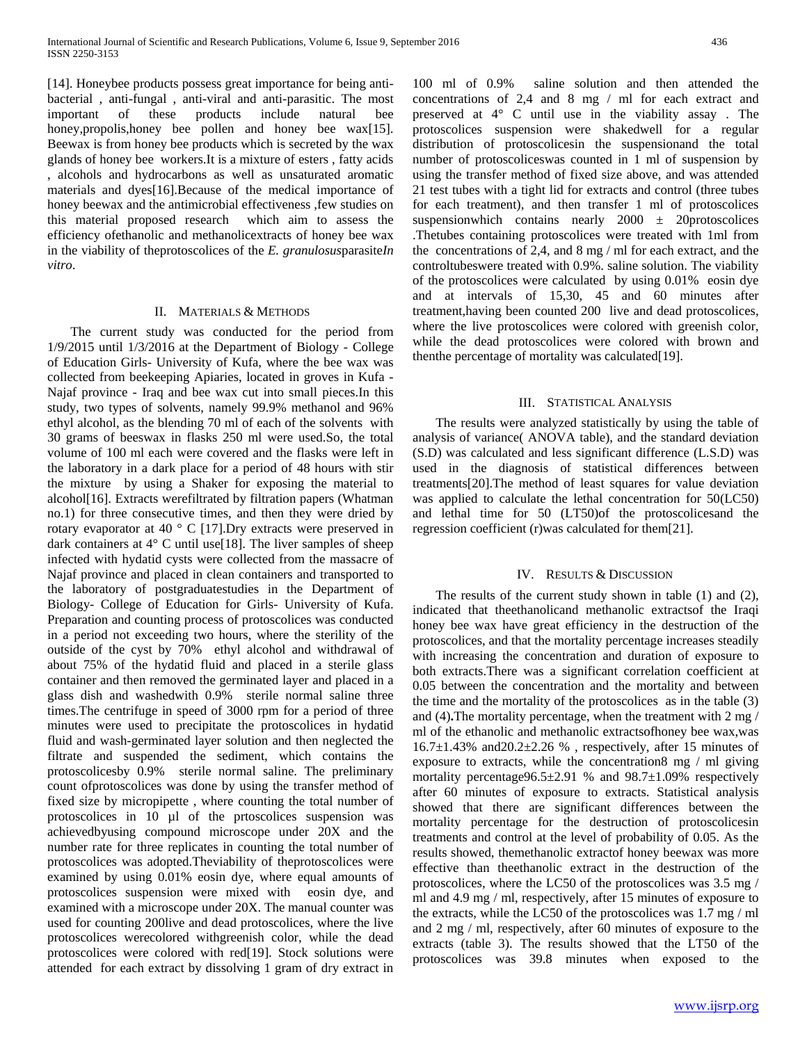[14]. Honeybee products possess great importance for being antibacterial , anti-fungal , anti-viral and anti-parasitic. The most important of these products include natural bee honey,propolis,honey bee pollen and honey bee wax[15]. Beewax is from honey bee products which is secreted by the wax glands of honey bee workers.It is a mixture of esters , fatty acids , alcohols and hydrocarbons as well as unsaturated aromatic materials and dyes[16].Because of the medical importance of honey beewax and the antimicrobial effectiveness ,few studies on this material proposed research which aim to assess the efficiency ofethanolic and methanolicextracts of honey bee wax in the viability of theprotoscolices of the *E. granulosus*parasite*In vitro*.

## II. MATERIALS & METHODS

 The current study was conducted for the period from 1/9/2015 until 1/3/2016 at the Department of Biology - College of Education Girls- University of Kufa, where the bee wax was collected from beekeeping Apiaries, located in groves in Kufa - Najaf province - Iraq and bee wax cut into small pieces.In this study, two types of solvents, namely 99.9% methanol and 96% ethyl alcohol, as the blending 70 ml of each of the solvents with 30 grams of beeswax in flasks 250 ml were used.So, the total volume of 100 ml each were covered and the flasks were left in the laboratory in a dark place for a period of 48 hours with stir the mixture by using a Shaker for exposing the material to alcohol[16]. Extracts werefiltrated by filtration papers (Whatman no.1) for three consecutive times, and then they were dried by rotary evaporator at 40 ° C [17].Dry extracts were preserved in dark containers at 4° C until use[18]. The liver samples of sheep infected with hydatid cysts were collected from the massacre of Najaf province and placed in clean containers and transported to the laboratory of postgraduatestudies in the Department of Biology- College of Education for Girls- University of Kufa. Preparation and counting process of protoscolices was conducted in a period not exceeding two hours, where the sterility of the outside of the cyst by 70% ethyl alcohol and withdrawal of about 75% of the hydatid fluid and placed in a sterile glass container and then removed the germinated layer and placed in a glass dish and washedwith 0.9% sterile normal saline three times.The centrifuge in speed of 3000 rpm for a period of three minutes were used to precipitate the protoscolices in hydatid fluid and wash-germinated layer solution and then neglected the filtrate and suspended the sediment, which contains the protoscolicesby 0.9% sterile normal saline. The preliminary count ofprotoscolices was done by using the transfer method of fixed size by micropipette , where counting the total number of protoscolices in 10 µl of the prtoscolices suspension was achievedbyusing compound microscope under 20X and the number rate for three replicates in counting the total number of protoscolices was adopted.Theviability of theprotoscolices were examined by using 0.01% eosin dye, where equal amounts of protoscolices suspension were mixed with eosin dye, and examined with a microscope under 20X. The manual counter was used for counting 200live and dead protoscolices, where the live protoscolices werecolored withgreenish color, while the dead protoscolices were colored with red[19]. Stock solutions were attended for each extract by dissolving 1 gram of dry extract in

100 ml of 0.9% saline solution and then attended the concentrations of 2,4 and 8 mg / ml for each extract and preserved at 4° C until use in the viability assay . The protoscolices suspension were shakedwell for a regular distribution of protoscolicesin the suspensionand the total number of protoscoliceswas counted in 1 ml of suspension by using the transfer method of fixed size above, and was attended 21 test tubes with a tight lid for extracts and control (three tubes for each treatment), and then transfer 1 ml of protoscolices suspensionwhich contains nearly  $2000 \pm 20$  protoscolices .Thetubes containing protoscolices were treated with 1ml from the concentrations of 2,4, and 8 mg / ml for each extract, and the controltubeswere treated with 0.9%. saline solution. The viability of the protoscolices were calculated by using 0.01% eosin dye and at intervals of 15,30, 45 and 60 minutes after treatment,having been counted 200 live and dead protoscolices, where the live protoscolices were colored with greenish color, while the dead protoscolices were colored with brown and thenthe percentage of mortality was calculated[19].

## III. STATISTICAL ANALYSIS

 The results were analyzed statistically by using the table of analysis of variance( ANOVA table), and the standard deviation (S.D) was calculated and less significant difference (L.S.D) was used in the diagnosis of statistical differences between treatments[20].The method of least squares for value deviation was applied to calculate the lethal concentration for 50(LC50) and lethal time for 50 (LT50)of the protoscolicesand the regression coefficient (r)was calculated for them[21].

## IV. RESULTS & DISCUSSION

 The results of the current study shown in table (1) and (2), indicated that theethanolicand methanolic extractsof the Iraqi honey bee wax have great efficiency in the destruction of the protoscolices, and that the mortality percentage increases steadily with increasing the concentration and duration of exposure to both extracts.There was a significant correlation coefficient at 0.05 between the concentration and the mortality and between the time and the mortality of the protoscolices as in the table (3) and (4)**.**The mortality percentage, when the treatment with 2 mg / ml of the ethanolic and methanolic extractsofhoney bee wax,was  $16.7\pm1.43\%$  and  $20.2\pm2.26\%$ , respectively, after 15 minutes of exposure to extracts, while the concentration8 mg / ml giving mortality percentage96.5±2.91 % and 98.7±1.09% respectively after 60 minutes of exposure to extracts. Statistical analysis showed that there are significant differences between the mortality percentage for the destruction of protoscolicesin treatments and control at the level of probability of 0.05. As the results showed, themethanolic extractof honey beewax was more effective than theethanolic extract in the destruction of the protoscolices, where the LC50 of the protoscolices was 3.5 mg / ml and 4.9 mg / ml, respectively, after 15 minutes of exposure to the extracts, while the LC50 of the protoscolices was 1.7 mg / ml and 2 mg / ml, respectively, after 60 minutes of exposure to the extracts (table 3). The results showed that the LT50 of the protoscolices was 39.8 minutes when exposed to the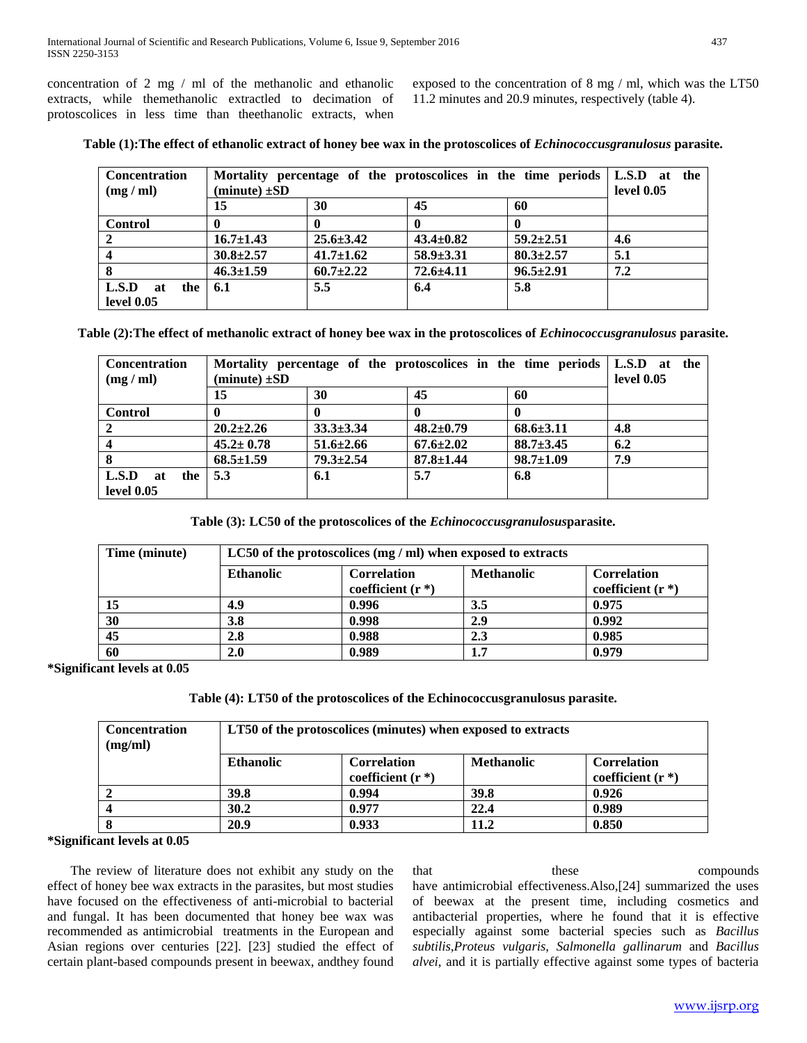concentration of 2 mg / ml of the methanolic and ethanolic extracts, while themethanolic extractled to decimation of protoscolices in less time than theethanolic extracts, when exposed to the concentration of 8 mg / ml, which was the LT50 11.2 minutes and 20.9 minutes, respectively (table 4).

| <b>Concentration</b><br>(mg / ml) | Mortality percentage of the protoscolices in the time periods L.S.D at the<br>$(minute) \pm SD$ |                 |                 |                 | <b>level 0.05</b> |
|-----------------------------------|-------------------------------------------------------------------------------------------------|-----------------|-----------------|-----------------|-------------------|
|                                   | 15                                                                                              | 30              | 45              | 60              |                   |
| <b>Control</b>                    |                                                                                                 |                 |                 |                 |                   |
|                                   | $16.7 \pm 1.43$                                                                                 | $25.6 \pm 3.42$ | $43.4 \pm 0.82$ | $59.2 \pm 2.51$ | 4.6               |
|                                   | $30.8 \pm 2.57$                                                                                 | $41.7 \pm 1.62$ | $58.9 \pm 3.31$ | $80.3 \pm 2.57$ | 5.1               |
|                                   | $46.3 \pm 1.59$                                                                                 | $60.7 \pm 2.22$ | $72.6 \pm 4.11$ | $96.5 \pm 2.91$ | 7.2               |
| L.S.D<br>the 1<br>at              | 6.1                                                                                             | 5.5             | 6.4             | 5.8             |                   |
| level 0.05                        |                                                                                                 |                 |                 |                 |                   |

**Table (1):The effect of ethanolic extract of honey bee wax in the protoscolices of** *Echinococcusgranulosus* **parasite.**

**Table (2):The effect of methanolic extract of honey bee wax in the protoscolices of** *Echinococcusgranulosus* **parasite.**

| <b>Concentration</b><br>(mg / ml) | Mortality percentage of the protoscolices in the time periods L.S.D at the<br>$(minute) \pm SD$ |                 |                 |                 | level 0.05 |
|-----------------------------------|-------------------------------------------------------------------------------------------------|-----------------|-----------------|-----------------|------------|
|                                   | 15                                                                                              | 30              | 45              | 60              |            |
| <b>Control</b>                    | 0                                                                                               |                 |                 |                 |            |
|                                   | $20.2 \pm 2.26$                                                                                 | $33.3 \pm 3.34$ | $48.2 \pm 0.79$ | $68.6 \pm 3.11$ | 4.8        |
|                                   | $45.2 \pm 0.78$                                                                                 | $51.6 \pm 2.66$ | $67.6{\pm}2.02$ | $88.7 \pm 3.45$ | 6.2        |
|                                   | $68.5 \pm 1.59$                                                                                 | $79.3 \pm 2.54$ | $87.8 \pm 1.44$ | $98.7 \pm 1.09$ | 7.9        |
| L.S.D<br>the<br>at                | 5.3                                                                                             | 6.1             | 5.7             | 6.8             |            |
| level 0.05                        |                                                                                                 |                 |                 |                 |            |

**Table (3): LC50 of the protoscolices of the** *Echinococcusgranulosus***parasite.**

| Time (minute) | LC50 of the protoscolices $(mg / ml)$ when exposed to extracts |                                           |                   |                                           |
|---------------|----------------------------------------------------------------|-------------------------------------------|-------------------|-------------------------------------------|
|               | <b>Ethanolic</b>                                               | <b>Correlation</b><br>coefficient $(r^*)$ | <b>Methanolic</b> | <b>Correlation</b><br>coefficient $(r^*)$ |
|               | 4.9                                                            | 0.996                                     | 3.5               | 0.975                                     |
| 30            | 3.8                                                            | 0.998                                     | 2.9               | 0.992                                     |
| 45            | 2.8                                                            | 0.988                                     | 2.3               | 0.985                                     |
| 60            | 2.0                                                            | 0.989                                     | 1.7               | 0.979                                     |

**\*Significant levels at 0.05**

**Table (4): LT50 of the protoscolices of the Echinococcusgranulosus parasite.**

| <b>Concentration</b><br>(mg/ml) | LT50 of the protoscolices (minutes) when exposed to extracts |                                           |                   |                                           |  |
|---------------------------------|--------------------------------------------------------------|-------------------------------------------|-------------------|-------------------------------------------|--|
|                                 | <b>Ethanolic</b>                                             | <b>Correlation</b><br>coefficient $(r^*)$ | <b>Methanolic</b> | <b>Correlation</b><br>coefficient $(r^*)$ |  |
|                                 | 39.8                                                         | 0.994                                     | 39.8              | 0.926                                     |  |
|                                 | 30.2                                                         | 0.977                                     | 22.4              | 0.989                                     |  |
| 8                               | 20.9                                                         | 0.933                                     | 11.2              | 0.850                                     |  |

**\*Significant levels at 0.05**

 The review of literature does not exhibit any study on the effect of honey bee wax extracts in the parasites, but most studies have focused on the effectiveness of anti-microbial to bacterial and fungal. It has been documented that honey bee wax was recommended as antimicrobial treatments in the European and Asian regions over centuries [22]. [23] studied the effect of certain plant-based compounds present in beewax, andthey found that these compounds have antimicrobial effectiveness.Also,[24] summarized the uses of beewax at the present time, including cosmetics and antibacterial properties, where he found that it is effective especially against some bacterial species such as *Bacillus subtilis*,*Proteus vulgaris, Salmonella gallinarum* and *Bacillus alvei*, and it is partially effective against some types of bacteria